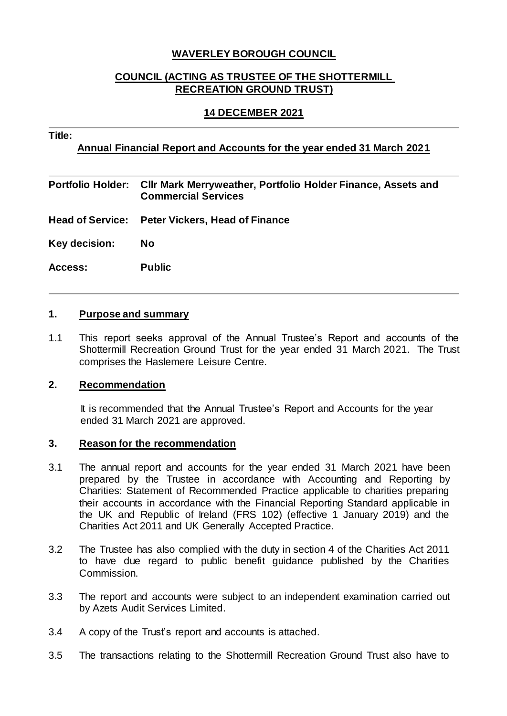# **WAVERLEY BOROUGH COUNCIL**

# **COUNCIL (ACTING AS TRUSTEE OF THE SHOTTERMILL RECREATION GROUND TRUST)**

## **14 DECEMBER 2021**

#### **Title:**

## **Annual Financial Report and Accounts for the year ended 31 March 2021**

**Portfolio Holder: Cllr Mark Merryweather, Portfolio Holder Finance, Assets and Commercial Services Head of Service: Peter Vickers, Head of Finance Key decision: No Access: Public**

#### **1. Purpose and summary**

1.1 This report seeks approval of the Annual Trustee's Report and accounts of the Shottermill Recreation Ground Trust for the year ended 31 March 2021. The Trust comprises the Haslemere Leisure Centre.

#### **2. Recommendation**

It is recommended that the Annual Trustee's Report and Accounts for the year ended 31 March 2021 are approved.

#### **3. Reason for the recommendation**

- 3.1 The annual report and accounts for the year ended 31 March 2021 have been prepared by the Trustee in accordance with Accounting and Reporting by Charities: Statement of Recommended Practice applicable to charities preparing their accounts in accordance with the Financial Reporting Standard applicable in the UK and Republic of Ireland (FRS 102) (effective 1 January 2019) and the Charities Act 2011 and UK Generally Accepted Practice.
- 3.2 The Trustee has also complied with the duty in section 4 of the Charities Act 2011 to have due regard to public benefit guidance published by the Charities Commission.
- 3.3 The report and accounts were subject to an independent examination carried out by Azets Audit Services Limited.
- 3.4 A copy of the Trust's report and accounts is attached.
- 3.5 The transactions relating to the Shottermill Recreation Ground Trust also have to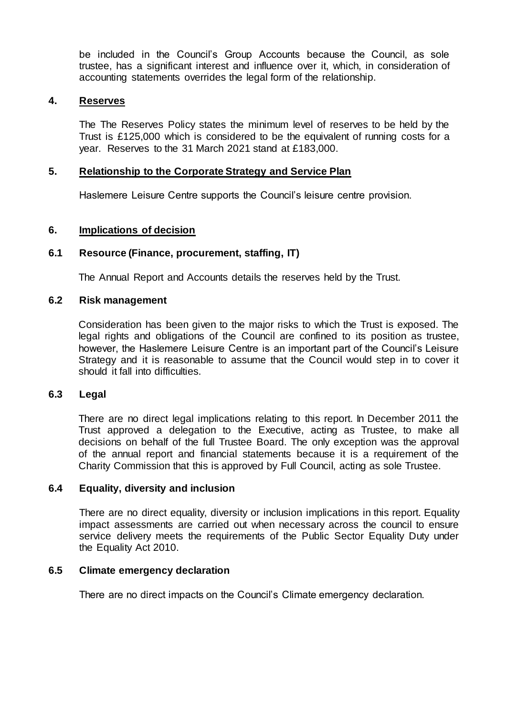be included in the Council's Group Accounts because the Council, as sole trustee, has a significant interest and influence over it, which, in consideration of accounting statements overrides the legal form of the relationship.

## **4. Reserves**

The The Reserves Policy states the minimum level of reserves to be held by the Trust is £125,000 which is considered to be the equivalent of running costs for a year. Reserves to the 31 March 2021 stand at £183,000.

## **5. Relationship to the Corporate Strategy and Service Plan**

Haslemere Leisure Centre supports the Council's leisure centre provision.

## **6. Implications of decision**

# **6.1 Resource (Finance, procurement, staffing, IT)**

The Annual Report and Accounts details the reserves held by the Trust.

## **6.2 Risk management**

Consideration has been given to the major risks to which the Trust is exposed. The legal rights and obligations of the Council are confined to its position as trustee, however, the Haslemere Leisure Centre is an important part of the Council's Leisure Strategy and it is reasonable to assume that the Council would step in to cover it should it fall into difficulties.

#### **6.3 Legal**

There are no direct legal implications relating to this report. In December 2011 the Trust approved a delegation to the Executive, acting as Trustee, to make all decisions on behalf of the full Trustee Board. The only exception was the approval of the annual report and financial statements because it is a requirement of the Charity Commission that this is approved by Full Council, acting as sole Trustee.

## **6.4 Equality, diversity and inclusion**

There are no direct equality, diversity or inclusion implications in this report. Equality impact assessments are carried out when necessary across the council to ensure service delivery meets the requirements of the Public Sector Equality Duty under the Equality Act 2010.

#### **6.5 Climate emergency declaration**

There are no direct impacts on the Council's Climate emergency declaration.